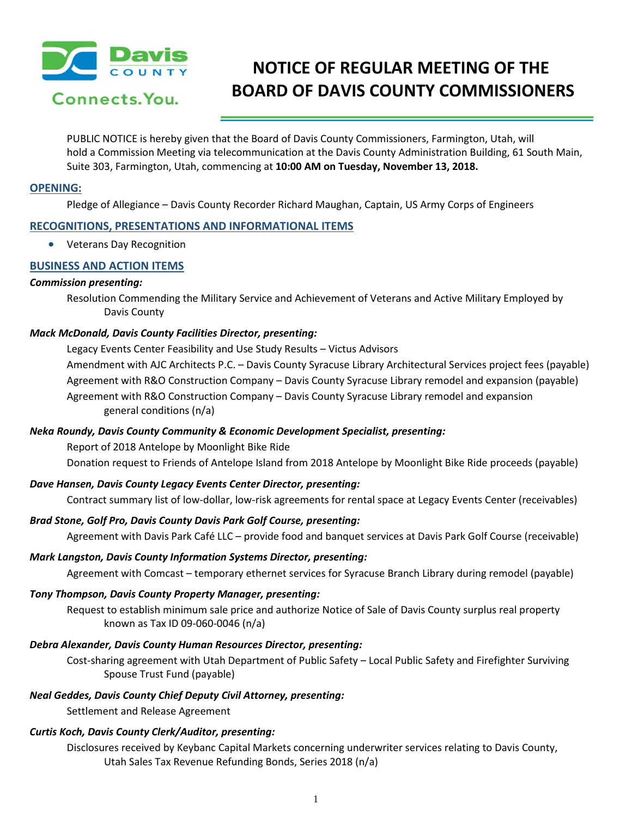

# **NOTICE OF REGULAR MEETING OF THE BOARD OF DAVIS COUNTY COMMISSIONERS**

PUBLIC NOTICE is hereby given that the Board of Davis County Commissioners, Farmington, Utah, will hold a Commission Meeting via telecommunication at the Davis County Administration Building, 61 South Main, Suite 303, Farmington, Utah, commencing at **10:00 AM on Tuesday, November 13, 2018.**

#### **OPENING:**

Pledge of Allegiance – Davis County Recorder Richard Maughan, Captain, US Army Corps of Engineers

# **RECOGNITIONS, PRESENTATIONS AND INFORMATIONAL ITEMS**

• Veterans Day Recognition

# **BUSINESS AND ACTION ITEMS**

#### *Commission presenting:*

Resolution Commending the Military Service and Achievement of Veterans and Active Military Employed by Davis County

## *Mack McDonald, Davis County Facilities Director, presenting:*

Legacy Events Center Feasibility and Use Study Results – Victus Advisors Amendment with AJC Architects P.C. – Davis County Syracuse Library Architectural Services project fees (payable) Agreement with R&O Construction Company – Davis County Syracuse Library remodel and expansion (payable) Agreement with R&O Construction Company – Davis County Syracuse Library remodel and expansion general conditions (n/a)

## *Neka Roundy, Davis County Community & Economic Development Specialist, presenting:*

Report of 2018 Antelope by Moonlight Bike Ride Donation request to Friends of Antelope Island from 2018 Antelope by Moonlight Bike Ride proceeds (payable)

## *Dave Hansen, Davis County Legacy Events Center Director, presenting:*

Contract summary list of low-dollar, low-risk agreements for rental space at Legacy Events Center (receivables)

## *Brad Stone, Golf Pro, Davis County Davis Park Golf Course, presenting:*

Agreement with Davis Park Café LLC – provide food and banquet services at Davis Park Golf Course (receivable)

## *Mark Langston, Davis County Information Systems Director, presenting:*

Agreement with Comcast – temporary ethernet services for Syracuse Branch Library during remodel (payable)

## *Tony Thompson, Davis County Property Manager, presenting:*

Request to establish minimum sale price and authorize Notice of Sale of Davis County surplus real property known as Tax ID 09-060-0046 (n/a)

## *Debra Alexander, Davis County Human Resources Director, presenting:*

Cost-sharing agreement with Utah Department of Public Safety – Local Public Safety and Firefighter Surviving Spouse Trust Fund (payable)

## *Neal Geddes, Davis County Chief Deputy Civil Attorney, presenting:*

Settlement and Release Agreement

## *Curtis Koch, Davis County Clerk/Auditor, presenting:*

Disclosures received by Keybanc Capital Markets concerning underwriter services relating to Davis County, Utah Sales Tax Revenue Refunding Bonds, Series 2018 (n/a)